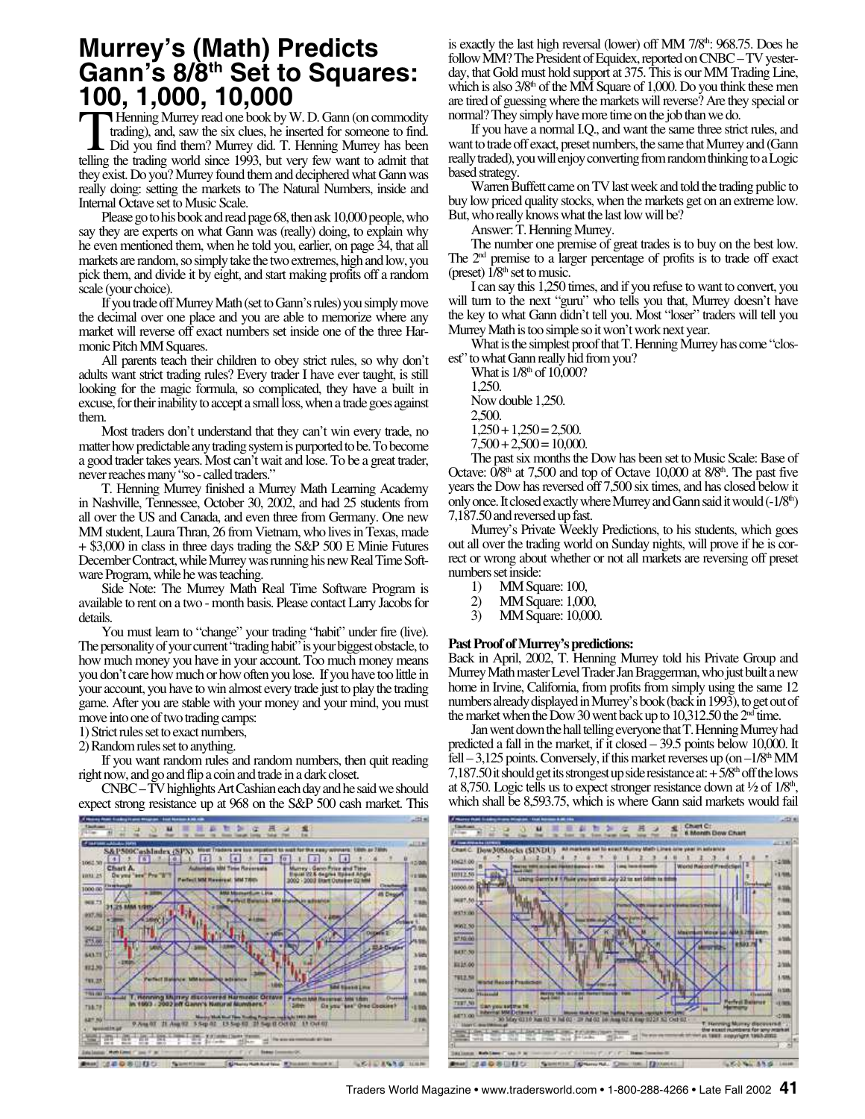## **Murrey's (Math) Predicts Gann's 8/8th Set to Squares: 100, 1,000, 10,000**

**THenning Murrey read one book by W. D. Gann (on commodity trading), and, saw the six clues, he inserted for someone to find.** Did you find them? Murrey did. T. Henning Murrey has been telling the trading world since 1993, . Henning Murrey read one book by W. D. Gann (on commodity trading), and, saw the six clues, he inserted for someone to find. Did you find them? Murrey did. T. Henning Murrey has been they exist. Do you? Murrey found them and deciphered what Gann was really doing: setting the markets to The Natural Numbers, inside and Internal Octave set to Music Scale.

Please go to his book and read page 68, then ask 10,000 people, who say they are experts on what Gann was (really) doing, to explain why he even mentioned them, when he told you, earlier, on page 34, that all markets are random, so simply take the two extremes, high and low, you pick them, and divide it by eight, and start making profits off a random scale (your choice).

If you trade off Murrey Math (set to Gann's rules) you simply move the decimal over one place and you are able to memorize where any market will reverse off exact numbers set inside one of the three Harmonic Pitch MM Squares.

All parents teach their children to obey strict rules, so why don't adults want strict trading rules? Every trader I have ever taught, is still looking for the magic formula, so complicated, they have a built in excuse, for their inability to accept a small loss, when a trade goes against them.

Most traders don't understand that they can't win every trade, no matter how predictable any trading system is purported to be. To become a good trader takes years. Most can't wait and lose. To be a great trader, never reaches many "so - called traders."

T. Henning Murrey finished a Murrey Math Learning Academy in Nashville, Tennessee, October 30, 2002, and had 25 students from all over the US and Canada, and even three from Germany. One new MM student, Laura Thran, 26 from Vietnam, who lives in Texas, made + \$3,000 in class in three days trading the S&P 500 E Minie Futures December Contract, while Murrey was running his new Real Time Software Program, while he was teaching.

Side Note: The Murrey Math Real Time Software Program is available to rent on a two - month basis. Please contact Larry Jacobs for details.

You must learn to "change" your trading "habit" under fire (live). The personality of your current "trading habit" is your biggest obstacle, to how much money you have in your account. Too much money means you don't care how much or how often you lose. If you have too little in your account, you have to win almost every trade just to play the trading game. After you are stable with your money and your mind, you must move into one of two trading camps:

1) Strict rules set to exact numbers,

2) Random rules set to anything.

If you want random rules and random numbers, then quit reading right now, and go and flip a coin and trade in a dark closet.

CNBC – TV highlights Art Cashian each day and he said we should expect strong resistance up at 968 on the S&P 500 cash market. This



is exactly the last high reversal (lower) off MM 7/8<sup>th</sup>: 968.75. Does he follow MM? The President of Equidex, reported on CNBC – TV yesterday, that Gold must hold support at 375. This is our MM Trading Line, which is also  $3/8<sup>th</sup>$  of the MM Square of 1,000. Do you think these men are tired of guessing where the markets will reverse? Are they special or normal? They simply have more time on the job than we do.

If you have a normal I.Q., and want the same three strict rules, and want to trade off exact, preset numbers, the same that Murrey and (Gann really traded), you will enjoy converting from random thinking to a Logic based strategy.

Warren Buffett came on TV last week and told the trading public to buy low priced quality stocks, when the markets get on an extreme low. But, who really knows what the last low will be?

Answer: T. Henning Murrey.

The number one premise of great trades is to buy on the best low. The 2<sup>nd</sup> premise to a larger percentage of profits is to trade off exact (preset)  $1/8<sup>th</sup>$  set to music.

I can say this 1,250 times, and if you refuse to want to convert, you will turn to the next "guru" who tells you that, Murrey doesn't have the key to what Gann didn't tell you. Most "loser" traders will tell you Murrey Math is too simple so it won't work next year.

What is the simplest proof that T. Henning Murrey has come "closest" to what Gann really hid from you?

What is  $1/8<sup>th</sup>$  of 10,000? 1,250. Now double 1,250. 2,500.  $1,250 + 1,250 = 2,500.$  $7,500 + 2,500 = 10,000.$ 

The past six months the Dow has been set to Music Scale: Base of Octave:  $0/8<sup>th</sup>$  at 7,500 and top of Octave 10,000 at  $8/8<sup>th</sup>$ . The past five years the Dow has reversed off 7,500 six times, and has closed below it only once. It closed exactly where Murrey and Gann said it would  $(-1/8<sup>th</sup>)$ 7,187.50 and reversed up fast.

Murrey's Private Weekly Predictions, to his students, which goes out all over the trading world on Sunday nights, will prove if he is correct or wrong about whether or not all markets are reversing off preset numbers set inside:

- 1) MM Square: 100,<br>2) MM Square: 1,00
- 2) MM Square: 1,000,<br>3) MM Square: 10,000
- 3) MM Square: 10,000.

## **Past Proof of Murrey's predictions:**

Back in April, 2002, T. Henning Murrey told his Private Group and Murrey Math master Level Trader Jan Braggerman, who just built a new home in Irvine, California, from profits from simply using the same 12 numbers already displayed in Murrey's book (back in 1993), to get out of the market when the Dow 30 went back up to  $10,312.50$  the  $2<sup>nd</sup>$  time.

Jan went down the hall telling everyone that T. Henning Murrey had predicted a fall in the market, if it closed – 39.5 points below 10,000. It fell  $-3,125$  points. Conversely, if this market reverses up (on  $-1/8<sup>th</sup>$  MM 7,187.50 it should get its strongest up side resistance at:  $+5/8<sup>th</sup>$  off the lows at 8,750. Logic tells us to expect stronger resistance down at  $\frac{1}{2}$  of  $1/8<sup>th</sup>$ , which shall be 8,593.75, which is where Gann said markets would fail

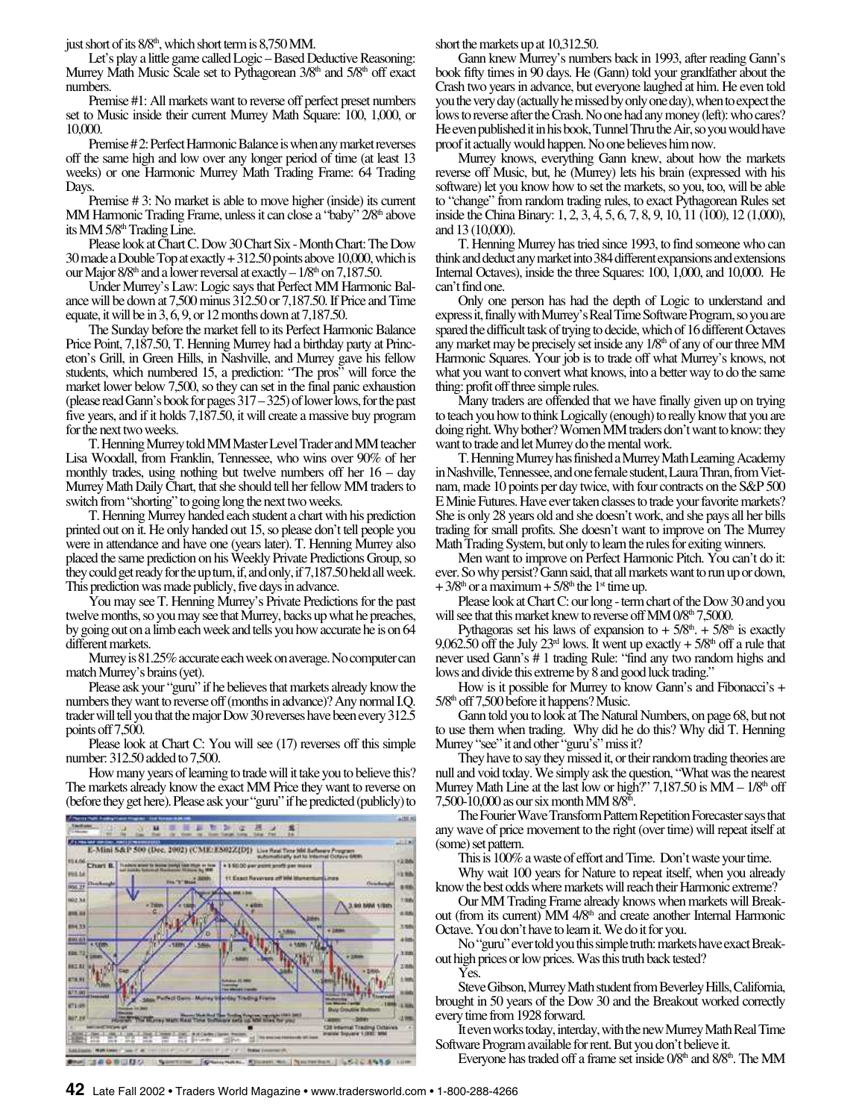just short of its  $8/8<sup>th</sup>$ , which short term is  $8,750$  MM.

Let's play a little game called Logic – Based Deductive Reasoning: Murrey Math Music Scale set to Pythagorean 3/8<sup>th</sup> and 5/8<sup>th</sup> off exact numbers.

Premise #1: All markets want to reverse off perfect preset numbers set to Music inside their current Murrey Math Square: 100, 1,000, or 10,000.

Premise # 2: Perfect Harmonic Balance is when any market reverses off the same high and low over any longer period of time (at least 13 weeks) or one Harmonic Murrey Math Trading Frame: 64 Trading Days.

Premise # 3: No market is able to move higher (inside) its current MM Harmonic Trading Frame, unless it can close a "baby" 2/8<sup>th</sup> above its MM 5/8<sup>th</sup> Trading Line.

Please look at Chart C. Dow 30 Chart Six - Month Chart: The Dow 30 made a Double Top at exactly + 312.50 points above 10,000, which is our Major  $8/8<sup>th</sup>$  and a lower reversal at exactly  $-1/8<sup>th</sup>$  on 7,187.50.

Under Murrey's Law: Logic says that Perfect MM Harmonic Balance will be down at 7,500 minus 312.50 or 7,187.50. If Price and Time equate, it will be in 3, 6, 9, or 12 months down at 7,187.50.

The Sunday before the market fell to its Perfect Harmonic Balance Price Point, 7,187.50, T. Henning Murrey had a birthday party at Princeton's Grill, in Green Hills, in Nashville, and Murrey gave his fellow students, which numbered 15, a prediction: "The pros" will force the market lower below 7,500, so they can set in the final panic exhaustion (please read Gann's book for pages 317 – 325) of lower lows, for the past five years, and if it holds 7,187.50, it will create a massive buy program for the next two weeks.

T. Henning Murrey told MM Master Level Trader and MM teacher Lisa Woodall, from Franklin, Tennessee, who wins over 90% of her monthly trades, using nothing but twelve numbers off her  $16 - day$ Murrey Math Daily Chart, that she should tell her fellow MM traders to switch from "shorting" to going long the next two weeks.

T. Henning Murrey handed each student a chart with his prediction printed out on it. He only handed out 15, so please don't tell people you were in attendance and have one (years later). T. Henning Murrey also placed the same prediction on his Weekly Private Predictions Group, so they could get ready for the up turn, if, and only, if 7,187.50 held all week. This prediction was made publicly, five days in advance.

You may see T. Henning Murrey's Private Predictions for the past twelve months, so you may see that Murrey, backs up what he preaches, by going out on a limb each week and tells you how accurate he is on 64 different markets.

Murrey is 81.25% accurate each week on average. No computer can match Murrey's brains (yet).

Please ask your "guru" if he believes that markets already know the numbers they want to reverse off (months in advance)? Any normal I.Q. trader will tell you that the major Dow 30 reverses have been every 312.5 points off 7,500.

Please look at Chart C: You will see (17) reverses off this simple number: 312.50 added to 7,500.

How many years of learning to trade will it take you to believe this? The markets already know the exact MM Price they want to reverse on (before they get here). Please ask your "guru" if he predicted (publicly) to



 $10^{12}$ Instrument LS16 1150 short the markets up at 10,312.50.

Gann knew Murrey's numbers back in 1993, after reading Gann's book fifty times in 90 days. He (Gann) told your grandfather about the Crash two years in advance, but everyone laughed at him. He even told you the very day (actually he missed by only one day), when to expect the lows to reverse after the Crash. No one had any money (left): who cares? He even published it in his book, Tunnel Thru the Air, so you would have proof it actually would happen. No one believes him now.

Murrey knows, everything Gann knew, about how the markets reverse off Music, but, he (Murrey) lets his brain (expressed with his software) let you know how to set the markets, so you, too, will be able to "change" from random trading rules, to exact Pythagorean Rules set inside the China Binary: 1, 2, 3, 4, 5, 6, 7, 8, 9, 10, 11 (100), 12 (1,000), and 13 (10,000).

T. Henning Murrey has tried since 1993, to find someone who can think and deduct any market into 384 different expansions and extensions Internal Octaves), inside the three Squares: 100, 1,000, and 10,000. He can't find one.

Only one person has had the depth of Logic to understand and express it, finally with Murrey's Real Time Software Program, so you are spared the difficult task of trying to decide, which of 16 different Octaves any market may be precisely set inside any  $1/8<sup>th</sup>$  of any of our three MM Harmonic Squares. Your job is to trade off what Murrey's knows, not what you want to convert what knows, into a better way to do the same thing: profit off three simple rules.

Many traders are offended that we have finally given up on trying to teach you how to think Logically (enough) to really know that you are doing right. Why bother? Women MM traders don't want to know: they want to trade and let Murrey do the mental work.

T. Henning Murrey has finished a Murrey Math Learning Academy in Nashville, Tennessee, and one female student, Laura Thran, from Vietnam, made 10 points per day twice, with four contracts on the S&P 500 E Minie Futures. Have ever taken classes to trade your favorite markets? She is only 28 years old and she doesn't work, and she pays all her bills trading for small profits. She doesn't want to improve on The Murrey Math Trading System, but only to learn the rules for exiting winners.

Men want to improve on Perfect Harmonic Pitch. You can't do it: ever. So why persist? Gann said, that all markets want to run up or down,  $+3/8<sup>th</sup>$  or a maximum  $+5/8<sup>th</sup>$  the 1<sup>st</sup> time up.

Please look at Chart C: our long - term chart of the Dow 30 and you will see that this market knew to reverse off MM 0/8<sup>th</sup> 7,5000.

Pythagoras set his laws of expansion to  $+ 5/8<sup>th</sup>$ .  $+ 5/8<sup>th</sup>$  is exactly 9,062.50 off the July  $23<sup>rd</sup>$  lows. It went up exactly  $+ 5/8<sup>th</sup>$  off a rule that never used Gann's # 1 trading Rule: "find any two random highs and lows and divide this extreme by 8 and good luck trading."

How is it possible for Murrey to know Gann's and Fibonacci's + 5/8<sup>th</sup> off 7,500 before it happens? Music.

Gann told you to look at The Natural Numbers, on page 68, but not to use them when trading. Why did he do this? Why did T. Henning Murrey "see" it and other "guru's" miss it?

They have to say they missed it, or their random trading theories are null and void today. We simply ask the question, "What was the nearest Murrey Math Line at the last low or high?"  $7,187.50$  is MM  $-1/8<sup>th</sup>$  off 7,500-10,000 as our six month MM 8/8th .

The Fourier Wave Transform Pattern Repetition Forecaster says that any wave of price movement to the right (over time) will repeat itself at (some) set pattern.

This is 100% a waste of effort and Time. Don't waste your time.

Why wait 100 years for Nature to repeat itself, when you already know the best odds where markets will reach their Harmonic extreme?

Our MM Trading Frame already knows when markets will Breakout (from its current) MM 4/8<sup>th</sup> and create another Internal Harmonic Octave. You don't have to learn it. We do it for you.

No "guru" ever told you this simple truth: markets have exact Breakout high prices or low prices. Was this truth back tested?

Yes.

Steve Gibson, Murrey Math student from Beverley Hills, California, brought in 50 years of the Dow 30 and the Breakout worked correctly every time from 1928 forward.

It even works today, interday, with the new Murrey Math Real Time Software Program available for rent. But you don't believe it.

Everyone has traded off a frame set inside  $0/8<sup>th</sup>$  and  $8/8<sup>th</sup>$ . The MM